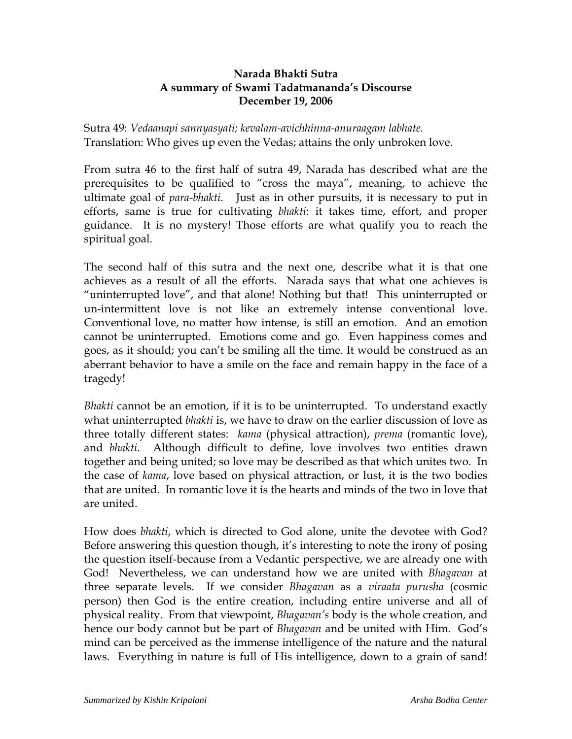## **Narada Bhakti Sutra A summary of Swami Tadatmananda's Discourse December 19, 2006**

Sutra 49: *Vedaanapi sannyasyati; kevalam-avichhinna-anuraagam labhate.* Translation: Who gives up even the Vedas; attains the only unbroken love.

From sutra 46 to the first half of sutra 49, Narada has described what are the prerequisites to be qualified to "cross the maya", meaning, to achieve the ultimate goal of *para-bhakti*. Just as in other pursuits, it is necessary to put in efforts, same is true for cultivating *bhakti*: it takes time, effort, and proper guidance. It is no mystery! Those efforts are what qualify you to reach the spiritual goal.

The second half of this sutra and the next one, describe what it is that one achieves as a result of all the efforts. Narada says that what one achieves is "uninterrupted love", and that alone! Nothing but that! This uninterrupted or un-intermittent love is not like an extremely intense conventional love. Conventional love, no matter how intense, is still an emotion. And an emotion cannot be uninterrupted. Emotions come and go. Even happiness comes and goes, as it should; you can't be smiling all the time. It would be construed as an aberrant behavior to have a smile on the face and remain happy in the face of a tragedy!

*Bhakti* cannot be an emotion, if it is to be uninterrupted. To understand exactly what uninterrupted *bhakti* is, we have to draw on the earlier discussion of love as three totally different states: *kama* (physical attraction), *prema* (romantic love), and *bhakti*. Although difficult to define, love involves two entities drawn together and being united; so love may be described as that which unites two. In the case of *kama*, love based on physical attraction, or lust, it is the two bodies that are united. In romantic love it is the hearts and minds of the two in love that are united.

How does *bhakti*, which is directed to God alone, unite the devotee with God? Before answering this question though, it's interesting to note the irony of posing the question itself-because from a Vedantic perspective, we are already one with God! Nevertheless, we can understand how we are united with *Bhagavan* at three separate levels. If we consider *Bhagavan* as a *viraata purusha* (cosmic person) then God is the entire creation, including entire universe and all of physical reality. From that viewpoint, *Bhagavan's* body is the whole creation, and hence our body cannot but be part of *Bhagavan* and be united with Him. God's mind can be perceived as the immense intelligence of the nature and the natural laws. Everything in nature is full of His intelligence, down to a grain of sand!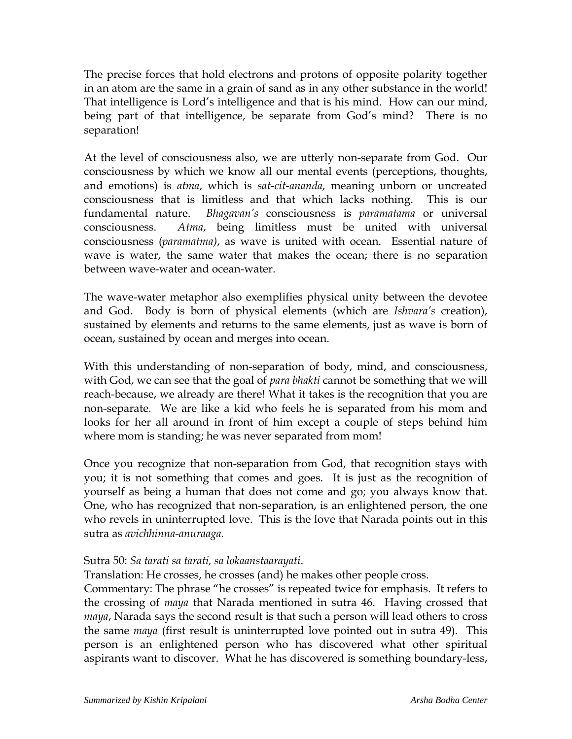The precise forces that hold electrons and protons of opposite polarity together in an atom are the same in a grain of sand as in any other substance in the world! That intelligence is Lord's intelligence and that is his mind. How can our mind, being part of that intelligence, be separate from God's mind? There is no separation!

At the level of consciousness also, we are utterly non-separate from God. Our consciousness by which we know all our mental events (perceptions, thoughts, and emotions) is *atma*, which is *sat*-*cit*-*ananda*, meaning unborn or uncreated consciousness that is limitless and that which lacks nothing. This is our fundamental nature. *Bhagavan's* consciousness is *paramatama* or universal consciousness. *Atma*, being limitless must be united with universal consciousness (*paramatma)*, as wave is united with ocean. Essential nature of wave is water, the same water that makes the ocean; there is no separation between wave-water and ocean-water.

The wave-water metaphor also exemplifies physical unity between the devotee and God. Body is born of physical elements (which are *Ishvara's* creation), sustained by elements and returns to the same elements, just as wave is born of ocean, sustained by ocean and merges into ocean.

With this understanding of non-separation of body, mind, and consciousness, with God, we can see that the goal of *para bhakti* cannot be something that we will reach-because, we already are there! What it takes is the recognition that you are non-separate. We are like a kid who feels he is separated from his mom and looks for her all around in front of him except a couple of steps behind him where mom is standing; he was never separated from mom!

Once you recognize that non-separation from God, that recognition stays with you; it is not something that comes and goes. It is just as the recognition of yourself as being a human that does not come and go; you always know that. One, who has recognized that non-separation, is an enlightened person, the one who revels in uninterrupted love. This is the love that Narada points out in this sutra as *avichhinna-anuraaga.* 

## Sutra 50: *Sa tarati sa tarati, sa lokaanstaarayati*.

Translation: He crosses, he crosses (and) he makes other people cross.

Commentary: The phrase "he crosses" is repeated twice for emphasis. It refers to the crossing of *maya* that Narada mentioned in sutra 46. Having crossed that *maya*, Narada says the second result is that such a person will lead others to cross the same *maya* (first result is uninterrupted love pointed out in sutra 49). This person is an enlightened person who has discovered what other spiritual aspirants want to discover. What he has discovered is something boundary-less,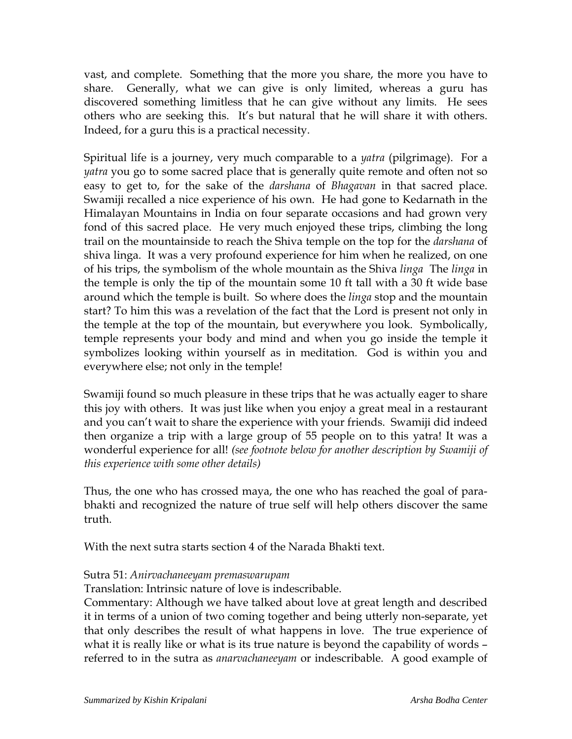vast, and complete. Something that the more you share, the more you have to share. Generally, what we can give is only limited, whereas a guru has discovered something limitless that he can give without any limits. He sees others who are seeking this. It's but natural that he will share it with others. Indeed, for a guru this is a practical necessity.

Spiritual life is a journey, very much comparable to a *yatra* (pilgrimage). For a *yatra* you go to some sacred place that is generally quite remote and often not so easy to get to, for the sake of the *darshana* of *Bhagavan* in that sacred place. Swamiji recalled a nice experience of his own. He had gone to Kedarnath in the Himalayan Mountains in India on four separate occasions and had grown very fond of this sacred place. He very much enjoyed these trips, climbing the long trail on the mountainside to reach the Shiva temple on the top for the *darshana* of shiva linga. It was a very profound experience for him when he realized, on one of his trips, the symbolism of the whole mountain as the Shiva *linga* The *linga* in the temple is only the tip of the mountain some 10 ft tall with a 30 ft wide base around which the temple is built. So where does the *linga* stop and the mountain start? To him this was a revelation of the fact that the Lord is present not only in the temple at the top of the mountain, but everywhere you look. Symbolically, temple represents your body and mind and when you go inside the temple it symbolizes looking within yourself as in meditation. God is within you and everywhere else; not only in the temple!

Swamiji found so much pleasure in these trips that he was actually eager to share this joy with others. It was just like when you enjoy a great meal in a restaurant and you can't wait to share the experience with your friends. Swamiji did indeed then organize a trip with a large group of 55 people on to this yatra! It was a wonderful experience for all! *(see footnote below for another description by Swamiji of this experience with some other details)*

Thus, the one who has crossed maya, the one who has reached the goal of parabhakti and recognized the nature of true self will help others discover the same truth.

With the next sutra starts section 4 of the Narada Bhakti text.

## Sutra 51: *Anirvachaneeyam premaswarupam*

Translation: Intrinsic nature of love is indescribable.

Commentary: Although we have talked about love at great length and described it in terms of a union of two coming together and being utterly non-separate, yet that only describes the result of what happens in love. The true experience of what it is really like or what is its true nature is beyond the capability of words – referred to in the sutra as *anarvachaneeyam* or indescribable. A good example of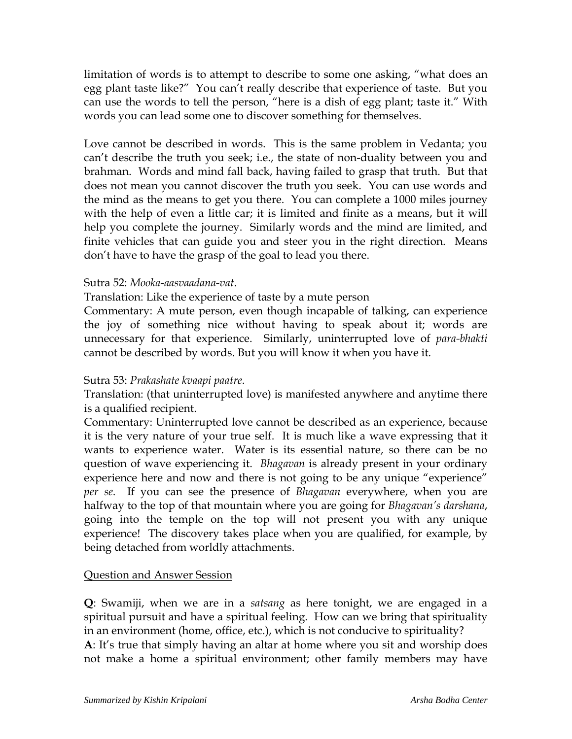limitation of words is to attempt to describe to some one asking, "what does an egg plant taste like?" You can't really describe that experience of taste. But you can use the words to tell the person, "here is a dish of egg plant; taste it." With words you can lead some one to discover something for themselves.

Love cannot be described in words. This is the same problem in Vedanta; you can't describe the truth you seek; i.e., the state of non-duality between you and brahman. Words and mind fall back, having failed to grasp that truth. But that does not mean you cannot discover the truth you seek. You can use words and the mind as the means to get you there. You can complete a 1000 miles journey with the help of even a little car; it is limited and finite as a means, but it will help you complete the journey. Similarly words and the mind are limited, and finite vehicles that can guide you and steer you in the right direction. Means don't have to have the grasp of the goal to lead you there.

## Sutra 52: *Mooka-aasvaadana-vat*.

Translation: Like the experience of taste by a mute person

Commentary: A mute person, even though incapable of talking, can experience the joy of something nice without having to speak about it; words are unnecessary for that experience. Similarly, uninterrupted love of *para-bhakti* cannot be described by words. But you will know it when you have it.

# Sutra 53: *Prakashate kvaapi paatre*.

Translation: (that uninterrupted love) is manifested anywhere and anytime there is a qualified recipient.

Commentary: Uninterrupted love cannot be described as an experience, because it is the very nature of your true self. It is much like a wave expressing that it wants to experience water. Water is its essential nature, so there can be no question of wave experiencing it. *Bhagavan* is already present in your ordinary experience here and now and there is not going to be any unique "experience" *per se*. If you can see the presence of *Bhagavan* everywhere, when you are halfway to the top of that mountain where you are going for *Bhagavan's darshana*, going into the temple on the top will not present you with any unique experience! The discovery takes place when you are qualified, for example, by being detached from worldly attachments.

## Question and Answer Session

**Q**: Swamiji, when we are in a *satsang* as here tonight, we are engaged in a spiritual pursuit and have a spiritual feeling. How can we bring that spirituality in an environment (home, office, etc.), which is not conducive to spirituality? **A**: It's true that simply having an altar at home where you sit and worship does not make a home a spiritual environment; other family members may have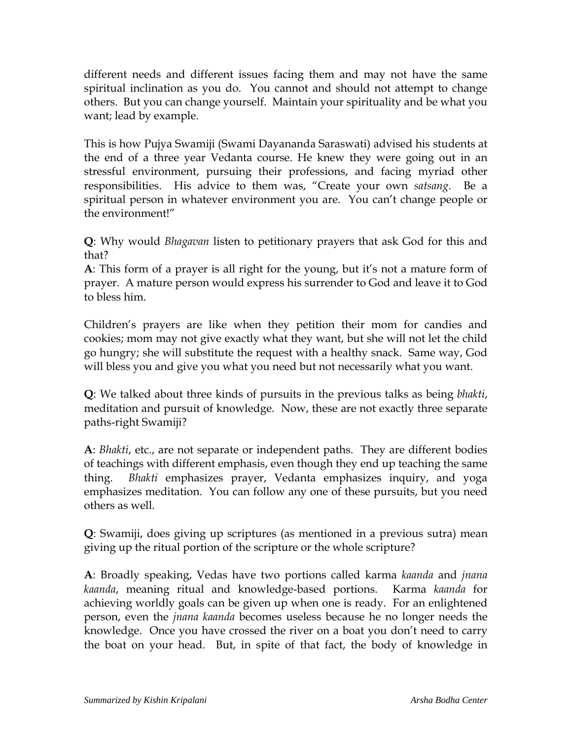different needs and different issues facing them and may not have the same spiritual inclination as you do. You cannot and should not attempt to change others. But you can change yourself. Maintain your spirituality and be what you want; lead by example.

This is how Pujya Swamiji (Swami Dayananda Saraswati) advised his students at the end of a three year Vedanta course. He knew they were going out in an stressful environment, pursuing their professions, and facing myriad other responsibilities. His advice to them was, "Create your own *satsang*. Be a spiritual person in whatever environment you are. You can't change people or the environment!"

**Q**: Why would *Bhagavan* listen to petitionary prayers that ask God for this and that?

**A**: This form of a prayer is all right for the young, but it's not a mature form of prayer. A mature person would express his surrender to God and leave it to God to bless him.

Children's prayers are like when they petition their mom for candies and cookies; mom may not give exactly what they want, but she will not let the child go hungry; she will substitute the request with a healthy snack. Same way, God will bless you and give you what you need but not necessarily what you want.

**Q**: We talked about three kinds of pursuits in the previous talks as being *bhakti*, meditation and pursuit of knowledge. Now, these are not exactly three separate paths-right Swamiji?

**A**: *Bhakti*, etc., are not separate or independent paths. They are different bodies of teachings with different emphasis, even though they end up teaching the same thing. *Bhakti* emphasizes prayer, Vedanta emphasizes inquiry, and yoga emphasizes meditation. You can follow any one of these pursuits, but you need others as well.

**Q**: Swamiji, does giving up scriptures (as mentioned in a previous sutra) mean giving up the ritual portion of the scripture or the whole scripture?

**A**: Broadly speaking, Vedas have two portions called karma *kaanda* and *jnana kaanda*, meaning ritual and knowledge-based portions. Karma *kaanda* for achieving worldly goals can be given up when one is ready. For an enlightened person, even the *jnana kaanda* becomes useless because he no longer needs the knowledge. Once you have crossed the river on a boat you don't need to carry the boat on your head. But, in spite of that fact, the body of knowledge in